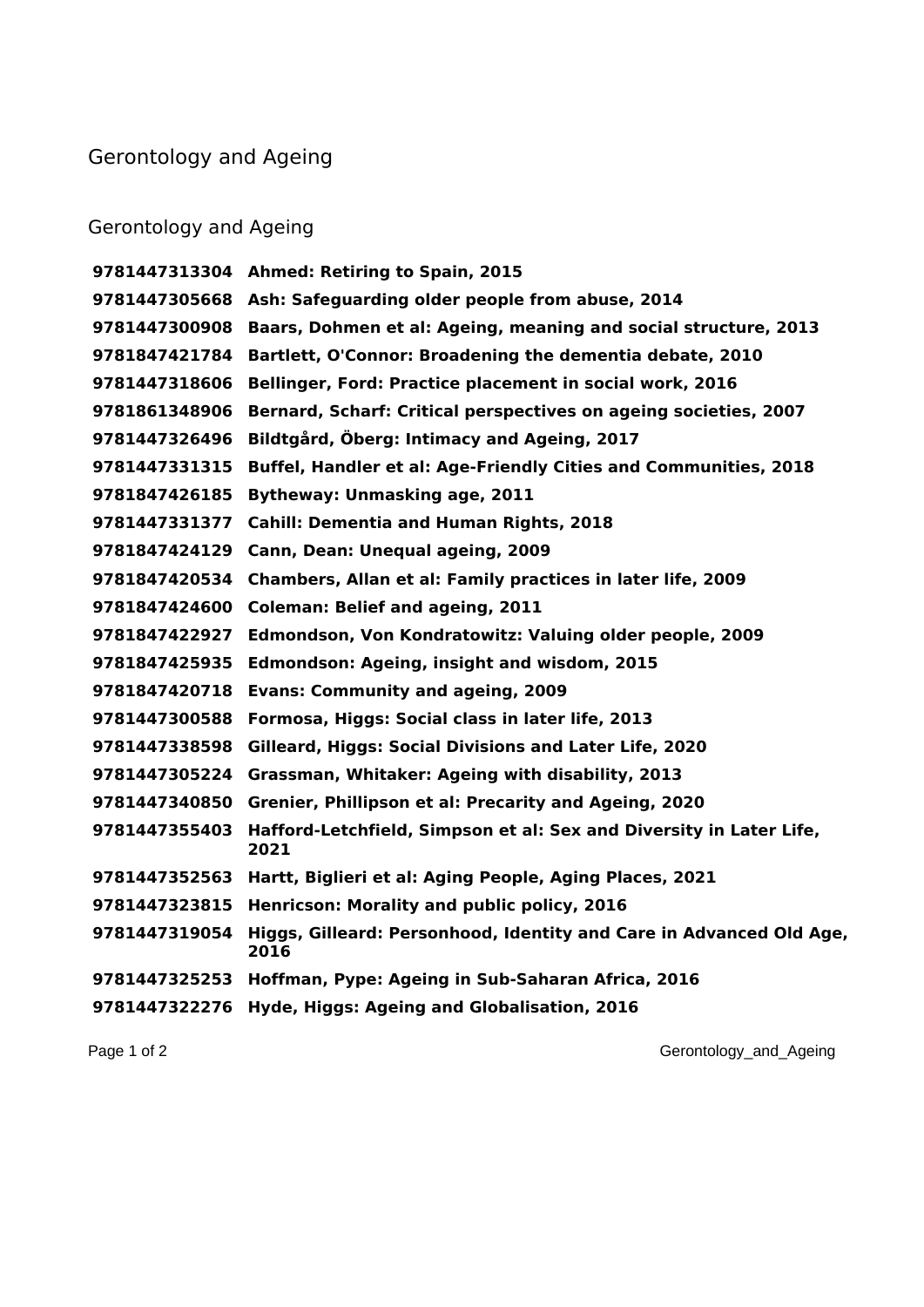## Gerontology and Ageing

## Gerontology and Ageing

 **Ahmed: Retiring to Spain, 2015 Ash: Safeguarding older people from abuse, 2014 Baars, Dohmen et al: Ageing, meaning and social structure, 2013 Bartlett, O'Connor: Broadening the dementia debate, 2010 Bellinger, Ford: Practice placement in social work, 2016 Bernard, Scharf: Critical perspectives on ageing societies, 2007 Bildtgård, Öberg: Intimacy and Ageing, 2017 Buffel, Handler et al: Age-Friendly Cities and Communities, 2018 Bytheway: Unmasking age, 2011 Cahill: Dementia and Human Rights, 2018 Cann, Dean: Unequal ageing, 2009 Chambers, Allan et al: Family practices in later life, 2009 Coleman: Belief and ageing, 2011 Edmondson, Von Kondratowitz: Valuing older people, 2009 Edmondson: Ageing, insight and wisdom, 2015 Evans: Community and ageing, 2009 Formosa, Higgs: Social class in later life, 2013 Gilleard, Higgs: Social Divisions and Later Life, 2020 Grassman, Whitaker: Ageing with disability, 2013 Grenier, Phillipson et al: Precarity and Ageing, 2020 Hafford-Letchfield, Simpson et al: Sex and Diversity in Later Life, Hartt, Biglieri et al: Aging People, Aging Places, 2021 Henricson: Morality and public policy, 2016 Higgs, Gilleard: Personhood, Identity and Care in Advanced Old Age, Hoffman, Pype: Ageing in Sub-Saharan Africa, 2016 Hyde, Higgs: Ageing and Globalisation, 2016**

Page 1 of 2 Gerontology\_and\_Ageing